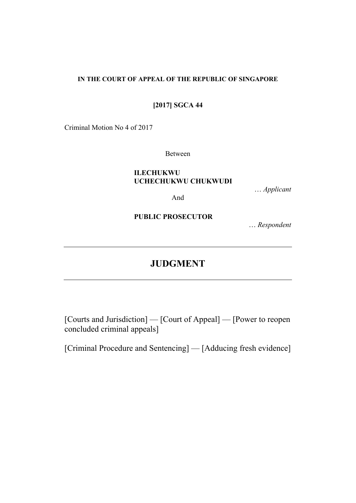## **IN THE COURT OF APPEAL OF THE REPUBLIC OF SINGAPORE**

## **[2017] SGCA 44**

Criminal Motion No 4 of 2017

Between

## **ILECHUKWU UCHECHUKWU CHUKWUDI**

… *Applicant*

And

**PUBLIC PROSECUTOR**

… *Respondent*

# **JUDGMENT**

[Courts and Jurisdiction] — [Court of Appeal] — [Power to reopen concluded criminal appeals]

[Criminal Procedure and Sentencing] — [Adducing fresh evidence]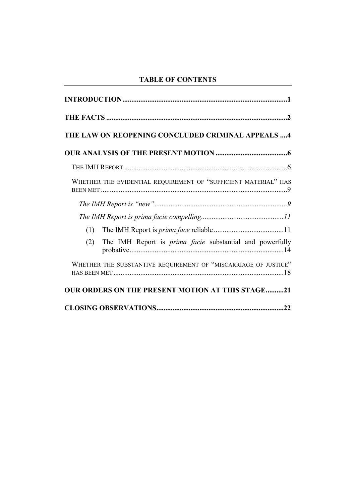## **TABLE OF CONTENTS**

| THE LAW ON REOPENING CONCLUDED CRIMINAL APPEALS 4                      |
|------------------------------------------------------------------------|
|                                                                        |
|                                                                        |
| WHETHER THE EVIDENTIAL REQUIREMENT OF "SUFFICIENT MATERIAL" HAS        |
|                                                                        |
|                                                                        |
| (1)                                                                    |
| The IMH Report is <i>prima facie</i> substantial and powerfully<br>(2) |
| WHETHER THE SUBSTANTIVE REQUIREMENT OF "MISCARRIAGE OF JUSTICE"        |
| <b>OUR ORDERS ON THE PRESENT MOTION AT THIS STAGE21</b>                |
|                                                                        |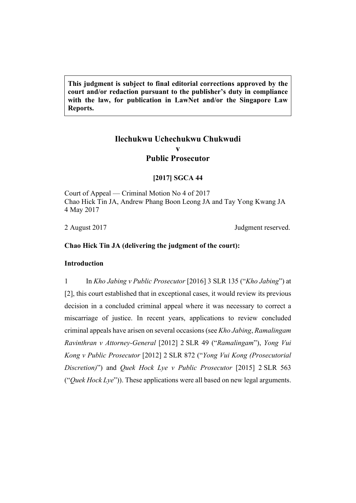**This judgment is subject to final editorial corrections approved by the court and/or redaction pursuant to the publisher's duty in compliance with the law, for publication in LawNet and/or the Singapore Law Reports.**

## **Ilechukwu Uchechukwu Chukwudi v Public Prosecutor**

## **[2017] SGCA 44**

Court of Appeal — Criminal Motion No 4 of 2017 Chao Hick Tin JA, Andrew Phang Boon Leong JA and Tay Yong Kwang JA 4 May 2017

2 August 2017 Judgment reserved.

## <span id="page-2-0"></span>**Chao Hick Tin JA (delivering the judgment of the court):**

#### **Introduction**

1 In *Kho Jabing v Public Prosecutor* [2016] 3 SLR 135 ("*Kho Jabing*") at [2], this court established that in exceptional cases, it would review its previous decision in a concluded criminal appeal where it was necessary to correct a miscarriage of justice. In recent years, applications to review concluded criminal appeals have arisen on several occasions (see *Kho Jabing*, *Ramalingam Ravinthran v Attorney-General* [2012] 2 SLR 49 ("*Ramalingam*"), *Yong Vui Kong v Public Prosecutor* [2012] 2 SLR 872 ("*Yong Vui Kong (Prosecutorial Discretion)*") and *Quek Hock Lye v Public Prosecutor* [2015] 2 SLR 563 ("*Quek Hock Lye*")). These applications were all based on new legal arguments.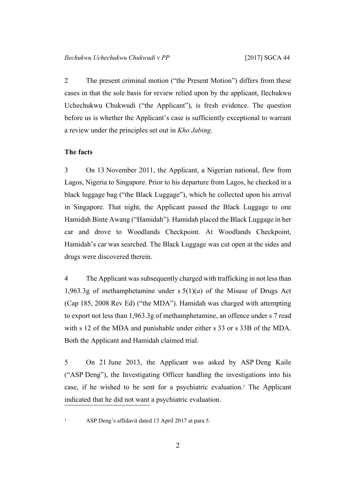2 The present criminal motion ("the Present Motion") differs from these cases in that the sole basis for review relied upon by the applicant, Ilechukwu Uchechukwu Chukwudi ("the Applicant"), is fresh evidence. The question before us is whether the Applicant's case is sufficiently exceptional to warrant a review under the principles set out in *Kho Jabing*.

#### <span id="page-3-0"></span>**The facts**

3 On 13 November 2011, the Applicant, a Nigerian national, flew from Lagos, Nigeria to Singapore. Prior to his departure from Lagos, he checked in a black luggage bag ("the Black Luggage"), which he collected upon his arrival in Singapore. That night, the Applicant passed the Black Luggage to one Hamidah Binte Awang ("Hamidah"). Hamidah placed the Black Luggage in her car and drove to Woodlands Checkpoint. At Woodlands Checkpoint, Hamidah's car was searched. The Black Luggage was cut open at the sides and drugs were discovered therein.

4 The Applicant wassubsequently charged with trafficking in not lessthan 1,963.3g of methamphetamine under  $s \frac{5(1)}{a}$  of the Misuse of Drugs Act (Cap 185, 2008 Rev Ed) ("the MDA"). Hamidah was charged with attempting to export not less than 1,963.3g of methamphetamine, an offence under s 7 read with s 12 of the MDA and punishable under either s 33 or s 33B of the MDA. Both the Applicant and Hamidah claimed trial.

5 On 21 June 2013, the Applicant was asked by ASP Deng Kaile ("ASP Deng"), the Investigating Officer handling the investigations into his case, if he wished to be sent for a psychiatric evaluation.<sup>1</sup> The Applicant indicated that he did not want a psychiatric evaluation.

<sup>1</sup> ASP Deng's affidavit dated 13 April 2017 at para 5.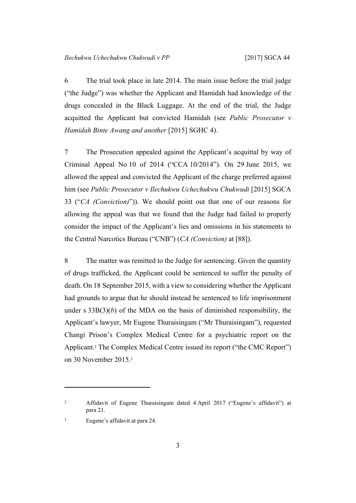6 The trial took place in late 2014. The main issue before the trial judge ("the Judge") was whether the Applicant and Hamidah had knowledge of the drugs concealed in the Black Luggage. At the end of the trial, the Judge acquitted the Applicant but convicted Hamidah (see *Public Prosecutor v Hamidah Binte Awang and another* [2015] SGHC 4).

7 The Prosecution appealed against the Applicant's acquittal by way of Criminal Appeal No 10 of 2014 ("CCA 10/2014"). On 29 June 2015, we allowed the appeal and convicted the Applicant of the charge preferred against him (see *Public Prosecutor v Ilechukwu Uchechukwu Chukwudi* [2015] SGCA 33 ("*CA (Conviction)*")). We should point out that one of our reasons for allowing the appeal was that we found that the Judge had failed to properly consider the impact of the Applicant's lies and omissions in his statements to the Central Narcotics Bureau ("CNB") (*CA (Conviction)* at [88]).

8 The matter was remitted to the Judge for sentencing. Given the quantity of drugs trafficked, the Applicant could be sentenced to suffer the penalty of death. On 18 September 2015, with a view to considering whether the Applicant had grounds to argue that he should instead be sentenced to life imprisonment under s  $33B(3)(b)$  of the MDA on the basis of diminished responsibility, the Applicant's lawyer, Mr Eugene Thuraisingam ("Mr Thuraisingam"), requested Changi Prison's Complex Medical Centre for a psychiatric report on the Applicant.<sup>2</sup> The Complex Medical Centre issued its report ("the CMC Report") on 30 November 2015.<sup>3</sup>

<sup>&</sup>lt;sup>2</sup> Affidavit of Eugene Thuraisingam dated 4 April 2017 ("Eugene's affidavit") at para 21.

<sup>3</sup> Eugene's affidavit at para 24.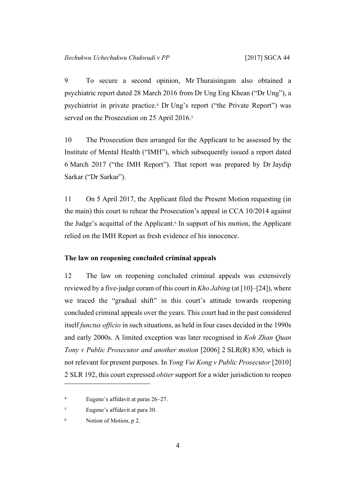<span id="page-5-1"></span>9 To secure a second opinion, Mr Thuraisingam also obtained a psychiatric report dated 28 March 2016 from Dr Ung Eng Khean ("Dr Ung"), a psychiatrist in private practice.<sup>4</sup> Dr Ung's report ("the Private Report") was served on the Prosecution on 25 April 2016.<sup>5</sup>

10 The Prosecution then arranged for the Applicant to be assessed by the Institute of Mental Health ("IMH"), which subsequently issued a report dated 6 March 2017 ("the IMH Report"). That report was prepared by Dr Jaydip Sarkar ("Dr Sarkar").

11 On 5 April 2017, the Applicant filed the Present Motion requesting (in the main) this court to rehear the Prosecution's appeal in CCA 10/2014 against the Judge's acquittal of the Applicant.<sup>6</sup> In support of his motion, the Applicant relied on the IMH Report as fresh evidence of his innocence.

## <span id="page-5-0"></span>**The law on reopening concluded criminal appeals**

12 The law on reopening concluded criminal appeals was extensively reviewed by a five-judge coram of this court in *Kho Jabing* (at [10]–[24]), where we traced the "gradual shift" in this court's attitude towards reopening concluded criminal appeals over the years. This court had in the past considered itself *functus officio* in such situations, as held in four cases decided in the 1990s and early 2000s. A limited exception was later recognised in *Koh Zhan Quan Tony v Public Prosecutor and another motion* [2006] 2 SLR(R) 830, which is not relevant for present purposes. In *Yong Vui Kong v Public Prosecutor* [2010] 2 SLR 192, this court expressed *obiter* support for a wider jurisdiction to reopen

<sup>4</sup> Eugene's affidavit at paras 26–27.

<sup>5</sup> Eugene's affidavit at para 30.

<sup>6</sup> Notion of Motion, p 2.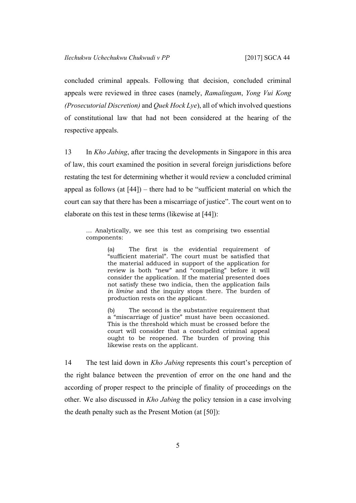concluded criminal appeals. Following that decision, concluded criminal appeals were reviewed in three cases (namely, *Ramalingam*, *Yong Vui Kong (Prosecutorial Discretion)* and *Quek Hock Lye*), all of which involved questions of constitutional law that had not been considered at the hearing of the respective appeals.

13 In *Kho Jabing*, after tracing the developments in Singapore in this area of law, this court examined the position in several foreign jurisdictions before restating the test for determining whether it would review a concluded criminal appeal as follows (at  $[44]$ ) – there had to be "sufficient material on which the court can say that there has been a miscarriage of justice". The court went on to elaborate on this test in these terms (likewise at [44]):

… Analytically, we see this test as comprising two essential components:

> (a) The first is the evidential requirement of "sufficient material". The court must be satisfied that the material adduced in support of the application for review is both "new" and "compelling" before it will consider the application. If the material presented does not satisfy these two indicia, then the application fails *in limine* and the inquiry stops there. The burden of production rests on the applicant.

> (b) The second is the substantive requirement that a "miscarriage of justice" must have been occasioned. This is the threshold which must be crossed before the court will consider that a concluded criminal appeal ought to be reopened. The burden of proving this likewise rests on the applicant.

14 The test laid down in *Kho Jabing* represents this court's perception of the right balance between the prevention of error on the one hand and the according of proper respect to the principle of finality of proceedings on the other. We also discussed in *Kho Jabing* the policy tension in a case involving the death penalty such as the Present Motion (at [50]):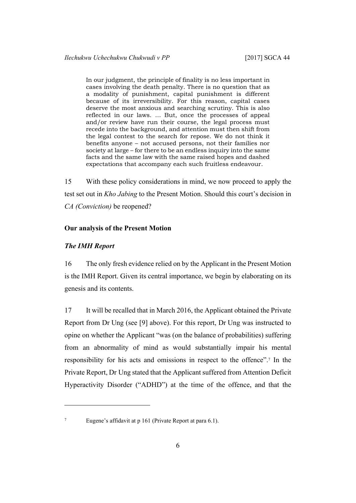In our judgment, the principle of finality is no less important in cases involving the death penalty. There is no question that as a modality of punishment, capital punishment is different because of its irreversibility. For this reason, capital cases deserve the most anxious and searching scrutiny. This is also reflected in our laws. … But, once the processes of appeal and/or review have run their course, the legal process must recede into the background, and attention must then shift from the legal contest to the search for repose. We do not think it benefits anyone – not accused persons, not their families nor society at large – for there to be an endless inquiry into the same facts and the same law with the same raised hopes and dashed expectations that accompany each such fruitless endeavour.

15 With these policy considerations in mind, we now proceed to apply the test set out in *Kho Jabing* to the Present Motion. Should this court's decision in *CA (Conviction)* be reopened?

## <span id="page-7-1"></span><span id="page-7-0"></span>**Our analysis of the Present Motion**

#### *The IMH Report*

16 The only fresh evidence relied on by the Applicant in the Present Motion is the IMH Report. Given its central importance, we begin by elaborating on its genesis and its contents.

17 It will be recalled that in March 2016, the Applicant obtained the Private Report from Dr Ung (see [\[9](#page-5-1)] above). For this report, Dr Ung was instructed to opine on whether the Applicant "was (on the balance of probabilities) suffering from an abnormality of mind as would substantially impair his mental responsibility for his acts and omissions in respect to the offence".<sup>7</sup> In the Private Report, Dr Ung stated that the Applicant suffered from Attention Deficit Hyperactivity Disorder ("ADHD") at the time of the offence, and that the

<sup>7</sup> Eugene's affidavit at p 161 (Private Report at para 6.1).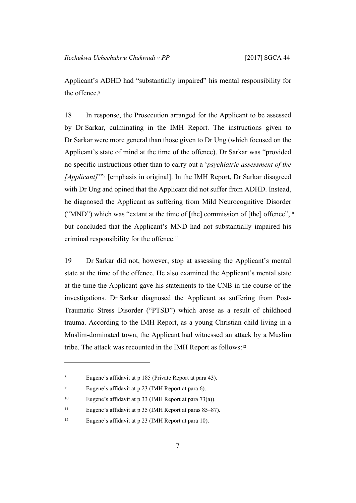Applicant's ADHD had "substantially impaired" his mental responsibility for the offence.<sup>8</sup>

18 In response, the Prosecution arranged for the Applicant to be assessed by Dr Sarkar, culminating in the IMH Report. The instructions given to Dr Sarkar were more general than those given to Dr Ung (which focused on the Applicant's state of mind at the time of the offence). Dr Sarkar was "provided no specific instructions other than to carry out a '*psychiatric assessment of the* [*Applicant]*'"<sup>9</sup> [emphasis in original]. In the IMH Report, Dr Sarkar disagreed with Dr Ung and opined that the Applicant did not suffer from ADHD. Instead, he diagnosed the Applicant as suffering from Mild Neurocognitive Disorder ("MND") which was "extant at the time of [the] commission of [the] offence",<sup>10</sup> but concluded that the Applicant's MND had not substantially impaired his criminal responsibility for the offence.<sup>11</sup>

19 Dr Sarkar did not, however, stop at assessing the Applicant's mental state at the time of the offence. He also examined the Applicant's mental state at the time the Applicant gave his statements to the CNB in the course of the investigations. Dr Sarkar diagnosed the Applicant as suffering from Post-Traumatic Stress Disorder ("PTSD") which arose as a result of childhood trauma. According to the IMH Report, as a young Christian child living in a Muslim-dominated town, the Applicant had witnessed an attack by a Muslim tribe. The attack was recounted in the IMH Report as follows:<sup>12</sup>

<sup>8</sup> Eugene's affidavit at p 185 (Private Report at para 43).

<sup>9</sup> Eugene's affidavit at p 23 (IMH Report at para 6).

<sup>10</sup> Eugene's affidavit at p 33 (IMH Report at para 73(a)).

<sup>11</sup> Eugene's affidavit at p 35 (IMH Report at paras 85–87).

<sup>12</sup> Eugene's affidavit at p 23 (IMH Report at para 10).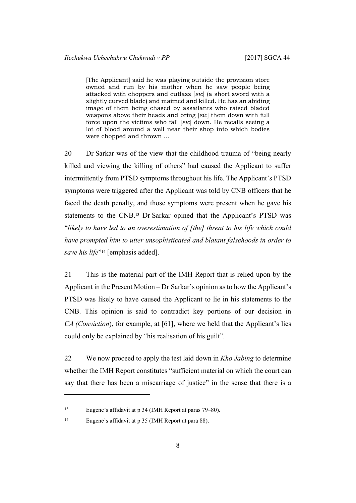[The Applicant] said he was playing outside the provision store owned and run by his mother when he saw people being attacked with choppers and cutlass [*sic*] (a short sword with a slightly curved blade) and maimed and killed. He has an abiding image of them being chased by assailants who raised bladed weapons above their heads and bring [*sic*] them down with full force upon the victims who fall [*sic*] down. He recalls seeing a lot of blood around a well near their shop into which bodies were chopped and thrown …

<span id="page-9-0"></span>20 Dr Sarkar was of the view that the childhood trauma of "being nearly killed and viewing the killing of others" had caused the Applicant to suffer intermittently from PTSD symptoms throughout his life. The Applicant's PTSD symptoms were triggered after the Applicant was told by CNB officers that he faced the death penalty, and those symptoms were present when he gave his statements to the CNB.<sup>13</sup> Dr Sarkar opined that the Applicant's PTSD was "*likely to have led to an overestimation of [the] threat to his life which could have prompted him to utter unsophisticated and blatant falsehoods in order to save his life*" <sup>14</sup> [emphasis added].

21 This is the material part of the IMH Report that is relied upon by the Applicant in the Present Motion – Dr Sarkar's opinion as to how the Applicant's PTSD was likely to have caused the Applicant to lie in his statements to the CNB. This opinion is said to contradict key portions of our decision in *CA (Conviction*), for example, at [61], where we held that the Applicant's lies could only be explained by "his realisation of his guilt".

22 We now proceed to apply the test laid down in *Kho Jabing* to determine whether the IMH Report constitutes "sufficient material on which the court can say that there has been a miscarriage of justice" in the sense that there is a

<sup>14</sup> Eugene's affidavit at p 35 (IMH Report at para 88).

<sup>13</sup> Eugene's affidavit at p 34 (IMH Report at paras 79–80).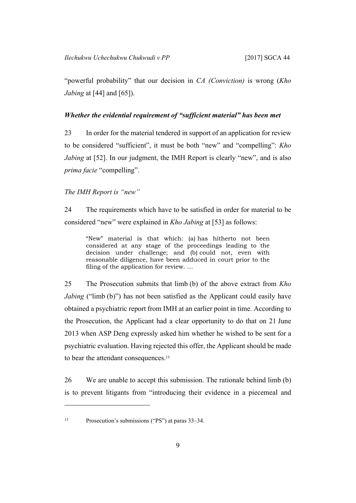"powerful probability" that our decision in *CA (Conviction)* is wrong (*Kho Jabing* at [44] and [65]).

#### <span id="page-10-0"></span>*Whether the evidential requirement of "sufficient material" has been met*

23 In order for the material tendered in support of an application for review to be considered "sufficient", it must be both "new" and "compelling": *Kho Jabing* at [52]. In our judgment, the IMH Report is clearly "new", and is also *prima facie* "compelling".

<span id="page-10-1"></span>*The IMH Report is "new"*

24 The requirements which have to be satisfied in order for material to be considered "new" were explained in *Kho Jabing* at [53] as follows:

"New" material is that which: (a) has hitherto not been considered at any stage of the proceedings leading to the decision under challenge; and (b) could not, even with reasonable diligence, have been adduced in court prior to the filing of the application for review. …

25 The Prosecution submits that limb (b) of the above extract from *Kho Jabing* ("limb (b)") has not been satisfied as the Applicant could easily have obtained a psychiatric report from IMH at an earlier point in time. According to the Prosecution, the Applicant had a clear opportunity to do that on 21 June 2013 when ASP Deng expressly asked him whether he wished to be sent for a psychiatric evaluation. Having rejected this offer, the Applicant should be made to bear the attendant consequences.<sup>15</sup>

<span id="page-10-2"></span>26 We are unable to accept this submission. The rationale behind limb (b) is to prevent litigants from "introducing their evidence in a piecemeal and

<sup>15</sup> Prosecution's submissions ("PS") at paras 33–34.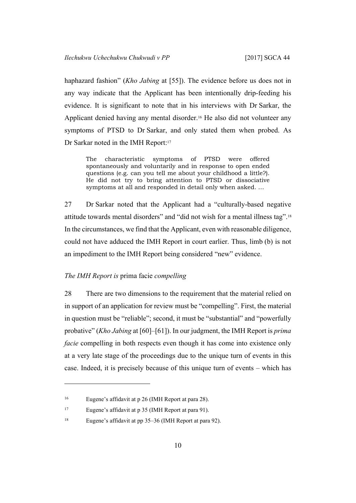haphazard fashion" (*Kho Jabing* at [55]). The evidence before us does not in any way indicate that the Applicant has been intentionally drip-feeding his evidence. It is significant to note that in his interviews with Dr Sarkar, the Applicant denied having any mental disorder.<sup>16</sup> He also did not volunteer any symptoms of PTSD to Dr Sarkar, and only stated them when probed. As Dr Sarkar noted in the IMH Report:<sup>17</sup>

The characteristic symptoms of PTSD were offered spontaneously and voluntarily and in response to open ended questions (e.g. can you tell me about your childhood a little?). He did not try to bring attention to PTSD or dissociative symptoms at all and responded in detail only when asked. …

27 Dr Sarkar noted that the Applicant had a "culturally-based negative attitude towards mental disorders" and "did not wish for a mental illness tag".<sup>18</sup> In the circumstances, we find that the Applicant, even with reasonable diligence, could not have adduced the IMH Report in court earlier. Thus, limb (b) is not an impediment to the IMH Report being considered "new" evidence.

## <span id="page-11-1"></span><span id="page-11-0"></span>*The IMH Report is* prima facie *compelling*

28 There are two dimensions to the requirement that the material relied on in support of an application for review must be "compelling". First, the material in question must be "reliable"; second, it must be "substantial" and "powerfully probative" (*Kho Jabing* at [60]–[61]). In our judgment, the IMH Report is *prima facie* compelling in both respects even though it has come into existence only at a very late stage of the proceedings due to the unique turn of events in this case. Indeed, it is precisely because of this unique turn of events – which has

<sup>16</sup> Eugene's affidavit at p 26 (IMH Report at para 28).

<sup>17</sup> Eugene's affidavit at p 35 (IMH Report at para 91).

<sup>18</sup> Eugene's affidavit at pp 35–36 (IMH Report at para 92).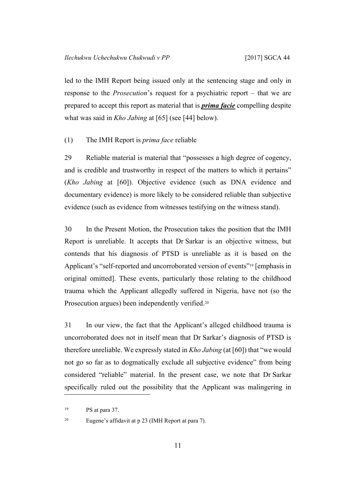led to the IMH Report being issued only at the sentencing stage and only in response to the *Prosecution*'s request for a psychiatric report – that we are prepared to accept this report as material that is *prima facie* compelling despite what was said in *Kho Jabing* at [65] (see [\[44](#page-19-1)] below).

## <span id="page-12-0"></span>(1) The IMH Report is *prima face* reliable

29 Reliable material is material that "possesses a high degree of cogency, and is credible and trustworthy in respect of the matters to which it pertains" (*Kho Jabing* at [60]). Objective evidence (such as DNA evidence and documentary evidence) is more likely to be considered reliable than subjective evidence (such as evidence from witnesses testifying on the witness stand).

30 In the Present Motion, the Prosecution takes the position that the IMH Report is unreliable. It accepts that Dr Sarkar is an objective witness, but contends that his diagnosis of PTSD is unreliable as it is based on the Applicant's "self-reported and uncorroborated version of events"<sup>19</sup> [emphasis in original omitted]. These events, particularly those relating to the childhood trauma which the Applicant allegedly suffered in Nigeria, have not (so the Prosecution argues) been independently verified.<sup>20</sup>

31 In our view, the fact that the Applicant's alleged childhood trauma is uncorroborated does not in itself mean that Dr Sarkar's diagnosis of PTSD is therefore unreliable. We expressly stated in *Kho Jabing* (at [60]) that "we would not go so far as to dogmatically exclude all subjective evidence" from being considered "reliable" material. In the present case, we note that Dr Sarkar specifically ruled out the possibility that the Applicant was malingering in

<sup>19</sup> PS at para 37.

<sup>20</sup> Eugene's affidavit at p 23 (IMH Report at para 7).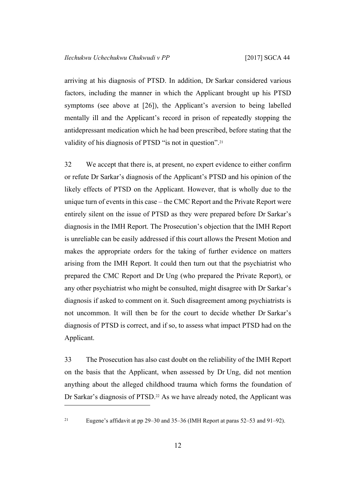arriving at his diagnosis of PTSD. In addition, Dr Sarkar considered various factors, including the manner in which the Applicant brought up his PTSD symptoms (see above at [\[26](#page-10-2)]), the Applicant's aversion to being labelled mentally ill and the Applicant's record in prison of repeatedly stopping the antidepressant medication which he had been prescribed, before stating that the validity of his diagnosis of PTSD "is not in question".<sup>21</sup>

<span id="page-13-0"></span>32 We accept that there is, at present, no expert evidence to either confirm or refute Dr Sarkar's diagnosis of the Applicant's PTSD and his opinion of the likely effects of PTSD on the Applicant. However, that is wholly due to the unique turn of events in this case – the CMC Report and the Private Report were entirely silent on the issue of PTSD as they were prepared before Dr Sarkar's diagnosis in the IMH Report. The Prosecution's objection that the IMH Report is unreliable can be easily addressed if this court allows the Present Motion and makes the appropriate orders for the taking of further evidence on matters arising from the IMH Report. It could then turn out that the psychiatrist who prepared the CMC Report and Dr Ung (who prepared the Private Report), or any other psychiatrist who might be consulted, might disagree with Dr Sarkar's diagnosis if asked to comment on it. Such disagreement among psychiatrists is not uncommon. It will then be for the court to decide whether Dr Sarkar's diagnosis of PTSD is correct, and if so, to assess what impact PTSD had on the Applicant.

33 The Prosecution has also cast doubt on the reliability of the IMH Report on the basis that the Applicant, when assessed by Dr Ung, did not mention anything about the alleged childhood trauma which forms the foundation of Dr Sarkar's diagnosis of PTSD.<sup>22</sup> As we have already noted, the Applicant was

<sup>21</sup> Eugene's affidavit at pp 29–30 and 35–36 (IMH Report at paras 52–53 and 91–92).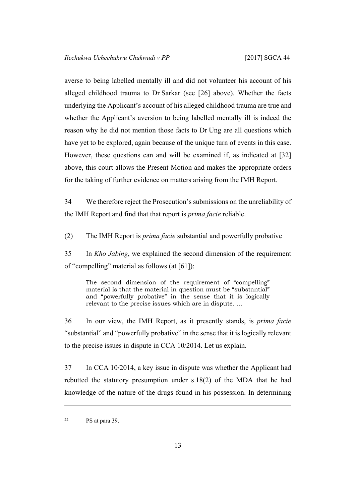averse to being labelled mentally ill and did not volunteer his account of his alleged childhood trauma to Dr Sarkar (see [[26\]](#page-10-2) above). Whether the facts underlying the Applicant's account of his alleged childhood trauma are true and whether the Applicant's aversion to being labelled mentally ill is indeed the reason why he did not mention those facts to Dr Ung are all questions which have yet to be explored, again because of the unique turn of events in this case. However, these questions can and will be examined if, as indicated at [\[32](#page-13-0)] above, this court allows the Present Motion and makes the appropriate orders for the taking of further evidence on matters arising from the IMH Report.

34 We therefore reject the Prosecution's submissions on the unreliability of the IMH Report and find that that report is *prima facie* reliable.

<span id="page-14-0"></span>(2) The IMH Report is *prima facie* substantial and powerfully probative

35 In *Kho Jabing*, we explained the second dimension of the requirement of "compelling" material as follows (at [61]):

The second dimension of the requirement of "compelling" material is that the material in question must be "substantial" and "powerfully probative" in the sense that it is logically relevant to the precise issues which are in dispute. …

36 In our view, the IMH Report, as it presently stands, is *prima facie* "substantial" and "powerfully probative" in the sense that it is logically relevant to the precise issues in dispute in CCA 10/2014. Let us explain.

<span id="page-14-1"></span>37 In CCA 10/2014, a key issue in dispute was whether the Applicant had rebutted the statutory presumption under s 18(2) of the MDA that he had knowledge of the nature of the drugs found in his possession. In determining

<sup>22</sup> PS at para 39.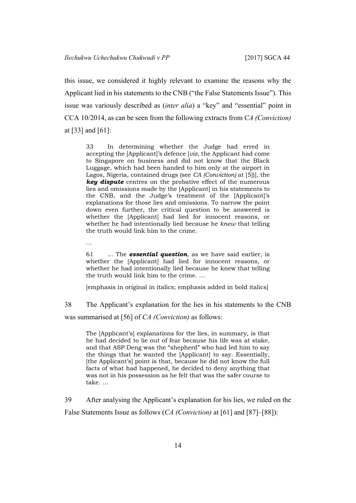this issue, we considered it highly relevant to examine the reasons why the Applicant lied in his statements to the CNB ("the False Statements Issue"). This issue was variously described as (*inter alia*) a "key" and "essential" point in CCA 10/2014, as can be seen from the following extracts from *CA (Conviction)* at [33] and [61]:

33 In determining whether the Judge had erred in accepting the [Applicant]'s defence [*viz*, the Applicant had come to Singapore on business and did not know that the Black Luggage, which had been handed to him only at the airport in Lagos, Nigeria, contained drugs (see *CA (Conviction)* at [5])], the *key dispute* centres on the probative effect of the numerous lies and omissions made by the [Applicant] in his statements to the CNB, and the Judge's treatment of the [Applicant]'s explanations for those lies and omissions. To narrow the point down even further, the critical question to be answered is whether the [Applicant] had lied for innocent reasons, or whether he had intentionally lied because he *knew* that telling the truth would link him to the crime.

…

61 ... The *essential question*, as we have said earlier, is whether the [Applicant] had lied for innocent reasons, or whether he had intentionally lied because he knew that telling the truth would link him to the crime. …

[emphasis in original in italics; emphasis added in bold italics]

38 The Applicant's explanation for the lies in his statements to the CNB

was summarised at [56] of *CA (Conviction)* as follows:

The [Applicant's] explanations for the lies, in summary, is that he had decided to lie out of fear because his life was at stake, and that ASP Deng was the "shepherd" who had led him to say the things that he wanted the [Applicant] to say. Essentially, [the Applicant's] point is that, because he did not know the full facts of what had happened, he decided to deny anything that was not in his possession as he felt that was the safer course to take. …

<span id="page-15-0"></span>39 After analysing the Applicant's explanation for his lies, we ruled on the False Statements Issue as follows (*CA (Conviction)* at [61] and [87]–[88]):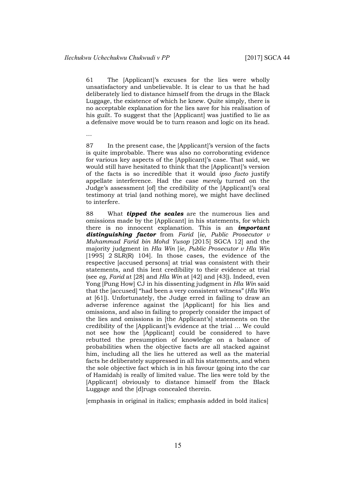…

61 The [Applicant]'s excuses for the lies were wholly unsatisfactory and unbelievable. It is clear to us that he had deliberately lied to distance himself from the drugs in the Black Luggage, the existence of which he knew. Quite simply, there is no acceptable explanation for the lies save for his realisation of his guilt. To suggest that the [Applicant] was justified to lie as a defensive move would be to turn reason and logic on its head.

87 In the present case, the [Applicant]'s version of the facts is quite improbable. There was also no corroborating evidence for various key aspects of the [Applicant]'s case. That said, we would still have hesitated to think that the [Applicant]'s version of the facts is so incredible that it would *ipso facto* justify appellate interference. Had the case *merely* turned on the Judge's assessment [of] the credibility of the [Applicant]'s oral testimony at trial (and nothing more), we might have declined to interfere.

88 What *tipped the scales* are the numerous lies and omissions made by the [Applicant] in his statements, for which there is no innocent explanation. This is an *important distinguishing factor* from *Farid* [*ie*, *Public Prosecutor v Muhammad Farid bin Mohd Yusop* [2015] SGCA 12] and the majority judgment in *Hla Win* [*ie*, *Public Prosecutor v Hla Win* [1995] 2 SLR(R) 104]. In those cases*,* the evidence of the respective [accused persons] at trial was consistent with their statements, and this lent credibility to their evidence at trial (see *eg*, *Farid* at [28] and *Hla Win* at [42] and [43]). Indeed, even Yong [Pung How] CJ in his dissenting judgment in *Hla Win* said that the [accused] "had been a very consistent witness" (*Hla Win* at [61]). Unfortunately, the Judge erred in failing to draw an adverse inference against the [Applicant] for his lies and omissions, and also in failing to properly consider the impact of the lies and omissions in [the Applicant's] statements on the credibility of the [Applicant]'s evidence at the trial … We could not see how the [Applicant] could be considered to have rebutted the presumption of knowledge on a balance of probabilities when the objective facts are all stacked against him, including all the lies he uttered as well as the material facts he deliberately suppressed in all his statements, and when the sole objective fact which is in his favour (going into the car of Hamidah) is really of limited value. The lies were told by the [Applicant] obviously to distance himself from the Black Luggage and the [d]rugs concealed therein.

[emphasis in original in italics; emphasis added in bold italics]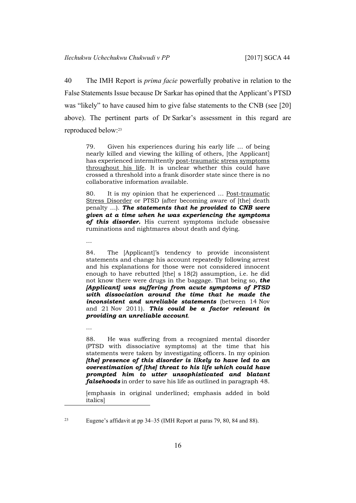40 The IMH Report is *prima facie* powerfully probative in relation to the False Statements Issue because Dr Sarkar has opined that the Applicant's PTSD was "likely" to have caused him to give false statements to the CNB (see [\[20](#page-9-0)] above). The pertinent parts of Dr Sarkar's assessment in this regard are reproduced below:<sup>23</sup>

79. Given his experiences during his early life … of being nearly killed and viewing the killing of others, [the Applicant] has experienced intermittently post-traumatic stress symptoms throughout his life. It is unclear whether this could have crossed a threshold into a frank disorder state since there is no collaborative information available.

80. It is my opinion that he experienced ... Post-traumatic Stress Disorder or PTSD (after becoming aware of [the] death penalty …). *The statements that he provided to CNB were given at a time when he was experiencing the symptoms of this disorder.* His current symptoms include obsessive ruminations and nightmares about death and dying.

…

…

84. The [Applicant]'s tendency to provide inconsistent statements and change his account repeatedly following arrest and his explanations for those were not considered innocent enough to have rebutted [the] s 18(2) assumption, i.e. he did not know there were drugs in the baggage. That being so, *the [Applicant] was suffering from acute symptoms of PTSD with dissociation around the time that he made the inconsistent and unreliable statements* (between 14 Nov and 21 Nov 2011). *This could be a factor relevant in providing an unreliable account*.

88. He was suffering from a recognized mental disorder (PTSD with dissociative symptoms) at the time that his statements were taken by investigating officers. In my opinion *[the] presence of this disorder is likely to have led to an overestimation of [the] threat to his life which could have prompted him to utter unsophisticated and blatant falsehoods* in order to save his life as outlined in paragraph 48.

[emphasis in original underlined; emphasis added in bold italics]

<sup>23</sup> Eugene's affidavit at pp 34–35 (IMH Report at paras 79, 80, 84 and 88).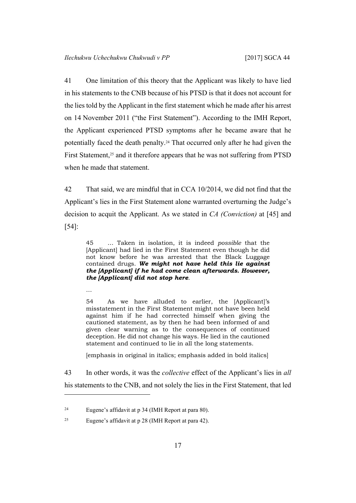41 One limitation of this theory that the Applicant was likely to have lied in his statements to the CNB because of his PTSD is that it does not account for the lies told by the Applicant in the first statement which he made after his arrest on 14 November 2011 ("the First Statement"). According to the IMH Report, the Applicant experienced PTSD symptoms after he became aware that he potentially faced the death penalty.<sup>24</sup> That occurred only after he had given the First Statement,<sup>25</sup> and it therefore appears that he was not suffering from PTSD when he made that statement.

42 That said, we are mindful that in CCA 10/2014, we did not find that the Applicant's lies in the First Statement alone warranted overturning the Judge's decision to acquit the Applicant. As we stated in *CA (Conviction)* at [45] and [54]:

45 … Taken in isolation, it is indeed *possible* that the [Applicant] had lied in the First Statement even though he did not know before he was arrested that the Black Luggage contained drugs. *We might not have held this lie against the [Applicant] if he had come clean afterwards. However, the [Applicant] did not stop here*.

…

54 As we have alluded to earlier, the [Applicant]'s misstatement in the First Statement might not have been held against him if he had corrected himself when giving the cautioned statement, as by then he had been informed of and given clear warning as to the consequences of continued deception. He did not change his ways. He lied in the cautioned statement and continued to lie in all the long statements.

[emphasis in original in italics; emphasis added in bold italics]

43 In other words, it was the *collective* effect of the Applicant's lies in *all* his statements to the CNB, and not solely the lies in the First Statement, that led

<sup>24</sup> Eugene's affidavit at p 34 (IMH Report at para 80).

<sup>25</sup> Eugene's affidavit at p 28 (IMH Report at para 42).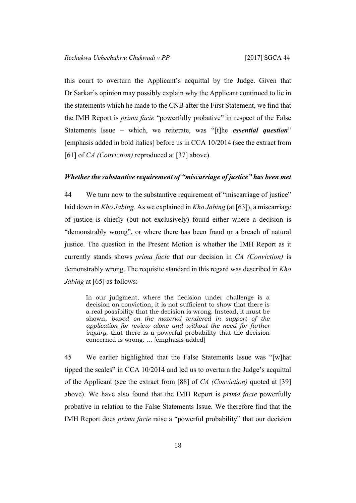this court to overturn the Applicant's acquittal by the Judge. Given that Dr Sarkar's opinion may possibly explain why the Applicant continued to lie in the statements which he made to the CNB after the First Statement, we find that the IMH Report is *prima facie* "powerfully probative" in respect of the False Statements Issue – which, we reiterate, was "[t]he *essential question*" [emphasis added in bold italics] before us in CCA 10/2014 (see the extract from [61] of *CA (Conviction)* reproduced at [[37\]](#page-14-1) above).

#### <span id="page-19-1"></span><span id="page-19-0"></span>*Whether the substantive requirement of "miscarriage of justice" has been met*

44 We turn now to the substantive requirement of "miscarriage of justice" laid down in *Kho Jabing*. As we explained in *Kho Jabing* (at [63]), a miscarriage of justice is chiefly (but not exclusively) found either where a decision is "demonstrably wrong", or where there has been fraud or a breach of natural justice. The question in the Present Motion is whether the IMH Report as it currently stands shows *prima facie* that our decision in *CA (Conviction)* is demonstrably wrong. The requisite standard in this regard was described in *Kho Jabing* at [65] as follows:

In our judgment, where the decision under challenge is a decision on conviction, it is not sufficient to show that there is a real possibility that the decision is wrong. Instead, it must be shown, *based on the material tendered in support of the application for review alone and without the need for further inquiry*, that there is a powerful probability that the decision concerned is wrong. … [emphasis added]

<span id="page-19-2"></span>45 We earlier highlighted that the False Statements Issue was "[w]hat tipped the scales" in CCA 10/2014 and led us to overturn the Judge's acquittal of the Applicant (see the extract from [88] of *CA (Conviction)* quoted at [\[39](#page-15-0)] above). We have also found that the IMH Report is *prima facie* powerfully probative in relation to the False Statements Issue. We therefore find that the IMH Report does *prima facie* raise a "powerful probability" that our decision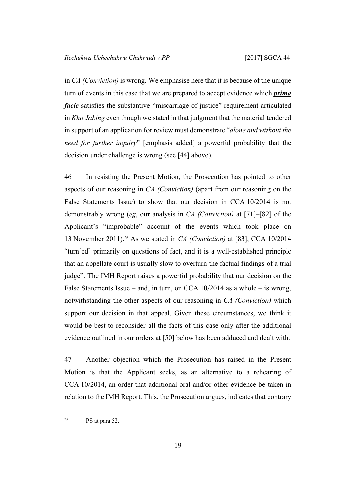in *CA (Conviction)* is wrong. We emphasise here that it is because of the unique turn of events in this case that we are prepared to accept evidence which *prima facie* satisfies the substantive "miscarriage of justice" requirement articulated in *Kho Jabing* even though we stated in that judgment that the material tendered in support of an application for review must demonstrate "*alone and without the need for further inquiry*" [emphasis added] a powerful probability that the decision under challenge is wrong (see [\[44](#page-19-1)] above).

46 In resisting the Present Motion, the Prosecution has pointed to other aspects of our reasoning in *CA (Conviction)* (apart from our reasoning on the False Statements Issue) to show that our decision in CCA 10/2014 is not demonstrably wrong (*eg*, our analysis in *CA (Conviction)* at [71]–[82] of the Applicant's "improbable" account of the events which took place on 13 November 2011).<sup>26</sup> As we stated in *CA (Conviction)* at [83], CCA 10/2014 "turn[ed] primarily on questions of fact, and it is a well-established principle that an appellate court is usually slow to overturn the factual findings of a trial judge". The IMH Report raises a powerful probability that our decision on the False Statements Issue – and, in turn, on CCA 10/2014 as a whole – is wrong, notwithstanding the other aspects of our reasoning in *CA (Conviction)* which support our decision in that appeal. Given these circumstances, we think it would be best to reconsider all the facts of this case only after the additional evidence outlined in our orders at [[50\]](#page-21-1) below has been adduced and dealt with.

47 Another objection which the Prosecution has raised in the Present Motion is that the Applicant seeks, as an alternative to a rehearing of CCA 10/2014, an order that additional oral and/or other evidence be taken in relation to the IMH Report. This, the Prosecution argues, indicates that contrary

<sup>26</sup> PS at para 52.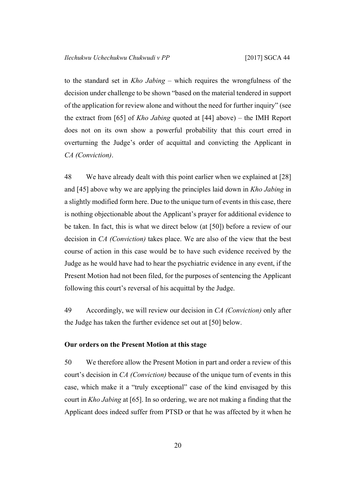to the standard set in *Kho Jabing* – which requires the wrongfulness of the decision under challenge to be shown "based on the material tendered in support of the application for review alone and without the need for further inquiry" (see the extract from [65] of *Kho Jabing* quoted at [\[44](#page-19-1)] above) – the IMH Report does not on its own show a powerful probability that this court erred in overturning the Judge's order of acquittal and convicting the Applicant in *CA (Conviction)*.

<span id="page-21-2"></span>48 We have already dealt with this point earlier when we explained at [\[28](#page-11-1)] and [\[45](#page-19-2)] above why we are applying the principles laid down in *Kho Jabing* in a slightly modified form here. Due to the unique turn of events in this case, there is nothing objectionable about the Applicant's prayer for additional evidence to be taken. In fact, this is what we direct below (at [[50\]](#page-21-1)) before a review of our decision in *CA (Conviction)* takes place. We are also of the view that the best course of action in this case would be to have such evidence received by the Judge as he would have had to hear the psychiatric evidence in any event, if the Present Motion had not been filed, for the purposes of sentencing the Applicant following this court's reversal of his acquittal by the Judge.

49 Accordingly, we will review our decision in *CA (Conviction)* only after the Judge has taken the further evidence set out at [[50\]](#page-21-1) below.

#### <span id="page-21-1"></span><span id="page-21-0"></span>**Our orders on the Present Motion at this stage**

50 We therefore allow the Present Motion in part and order a review of this court's decision in *CA (Conviction)* because of the unique turn of events in this case, which make it a "truly exceptional" case of the kind envisaged by this court in *Kho Jabing* at [65]. In so ordering, we are not making a finding that the Applicant does indeed suffer from PTSD or that he was affected by it when he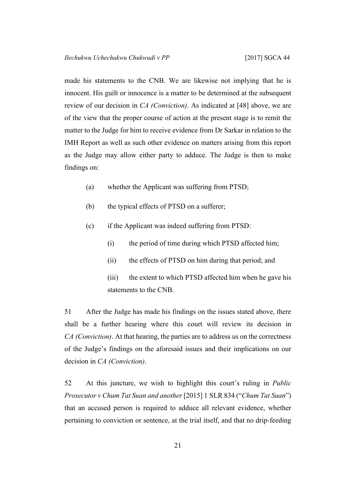made his statements to the CNB. We are likewise not implying that he is innocent. His guilt or innocence is a matter to be determined at the subsequent review of our decision in *CA (Conviction)*. As indicated at [\[48](#page-21-2)] above, we are of the view that the proper course of action at the present stage is to remit the matter to the Judge for him to receive evidence from Dr Sarkar in relation to the IMH Report as well as such other evidence on matters arising from this report as the Judge may allow either party to adduce. The Judge is then to make findings on:

- (a) whether the Applicant was suffering from PTSD;
- (b) the typical effects of PTSD on a sufferer;
- (c) if the Applicant was indeed suffering from PTSD:
	- (i) the period of time during which PTSD affected him;
	- (ii) the effects of PTSD on him during that period; and
	- (iii) the extent to which PTSD affected him when he gave his statements to the CNB.

51 After the Judge has made his findings on the issues stated above, there shall be a further hearing where this court will review its decision in *CA (Conviction)*. At that hearing, the parties are to address us on the correctness of the Judge's findings on the aforesaid issues and their implications on our decision in *CA (Conviction)*.

52 At this juncture, we wish to highlight this court's ruling in *Public Prosecutor v Chum Tat Suan and another* [2015] 1 SLR 834 ("*Chum Tat Suan*") that an accused person is required to adduce all relevant evidence, whether pertaining to conviction or sentence, at the trial itself, and that no drip-feeding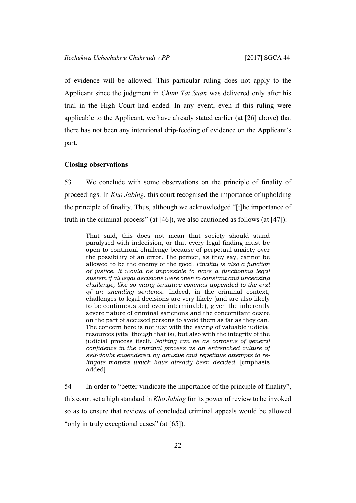of evidence will be allowed. This particular ruling does not apply to the Applicant since the judgment in *Chum Tat Suan* was delivered only after his trial in the High Court had ended. In any event, even if this ruling were applicable to the Applicant, we have already stated earlier (at [[26\]](#page-10-2) above) that there has not been any intentional drip-feeding of evidence on the Applicant's part.

#### <span id="page-23-0"></span>**Closing observations**

53 We conclude with some observations on the principle of finality of proceedings. In *Kho Jabing*, this court recognised the importance of upholding the principle of finality. Thus, although we acknowledged "[t]he importance of truth in the criminal process" (at [46]), we also cautioned as follows (at [47]):

That said, this does not mean that society should stand paralysed with indecision, or that every legal finding must be open to continual challenge because of perpetual anxiety over the possibility of an error. The perfect, as they say, cannot be allowed to be the enemy of the good. *Finality is also a function of justice. It would be impossible to have a functioning legal system if all legal decisions were open to constant and unceasing challenge, like so many tentative commas appended to the end of an unending sentence.* Indeed, in the criminal context, challenges to legal decisions are very likely (and are also likely to be continuous and even interminable), given the inherently severe nature of criminal sanctions and the concomitant desire on the part of accused persons to avoid them as far as they can. The concern here is not just with the saving of valuable judicial resources (vital though that is), but also with the integrity of the judicial process itself. *Nothing can be as corrosive of general confidence in the criminal process as an entrenched culture of self-doubt engendered by abusive and repetitive attempts to relitigate matters which have already been decided*. [emphasis added]

54 In order to "better vindicate the importance of the principle of finality", this court set a high standard in *Kho Jabing* for its power of review to be invoked so as to ensure that reviews of concluded criminal appeals would be allowed "only in truly exceptional cases" (at [65]).